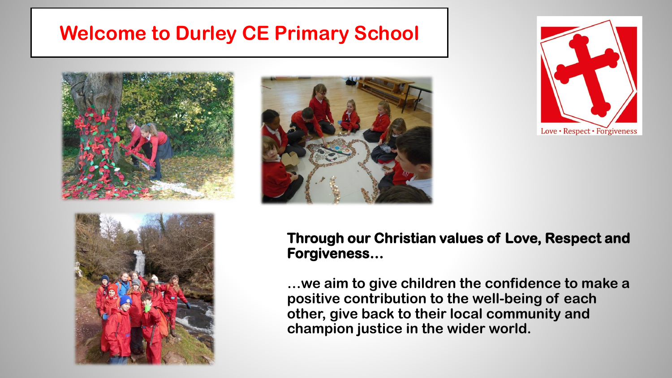#### **Welcome to Durley CE Primary School**









**Through our Christian values of Love, Respect and Forgiveness…**

**…we aim to give children the confidence to make a positive contribution to the well-being of each other, give back to their local community and champion justice in the wider world.**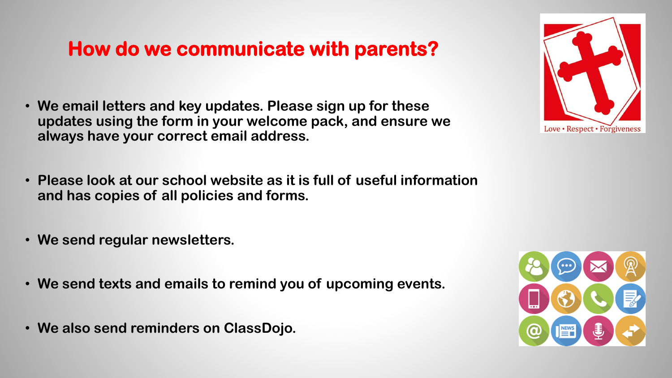### **How do we communicate with parents?**

- **We email letters and key updates. Please sign up for these updates using the form in your welcome pack, and ensure we always have your correct email address.**
- **Please look at our school website as it is full of useful information and has copies of all policies and forms.**
- **We send regular newsletters.**
- **We send texts and emails to remind you of upcoming events.**
- **We also send reminders on ClassDojo.**



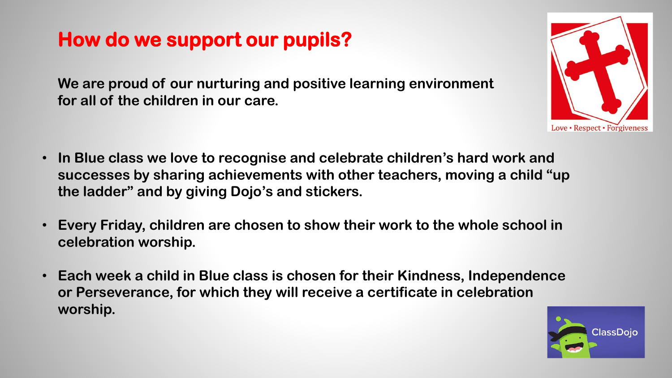# **How do we support our pupils?**

**We are proud of our nurturing and positive learning environment for all of the children in our care.**

- **In Blue class we love to recognise and celebrate children's hard work and successes by sharing achievements with other teachers, moving a child "up the ladder" and by giving Dojo's and stickers.**
- **Every Friday, children are chosen to show their work to the whole school in celebration worship.**
- **Each week a child in Blue class is chosen for their Kindness, Independence or Perseverance, for which they will receive a certificate in celebration worship.**



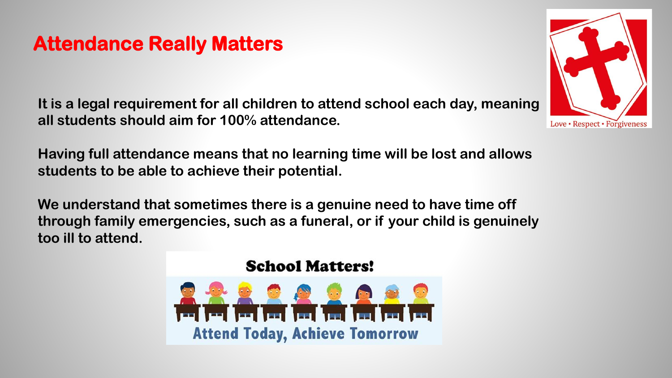#### **Attendance Really Matters**

**It is a legal requirement for all children to attend school each day, meaning all students should aim for 100% attendance.** 

**Having full attendance means that no learning time will be lost and allows students to be able to achieve their potential.** 

**We understand that sometimes there is a genuine need to have time off through family emergencies, such as a funeral, or if your child is genuinely too ill to attend.**

#### **School Matters!**



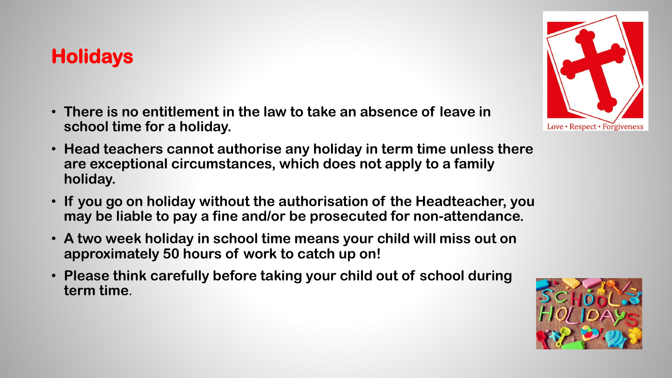# **Holidays**

- **There is no entitlement in the law to take an absence of leave in school time for a holiday.**
- **Head teachers cannot authorise any holiday in term time unless there are exceptional circumstances, which does not apply to a family holiday.**
- **If you go on holiday without the authorisation of the Headteacher, you may be liable to pay a fine and/or be prosecuted for non-attendance.**
- **A two week holiday in school time means your child will miss out on approximately 50 hours of work to catch up on!**
- **Please think carefully before taking your child out of school during term time**.



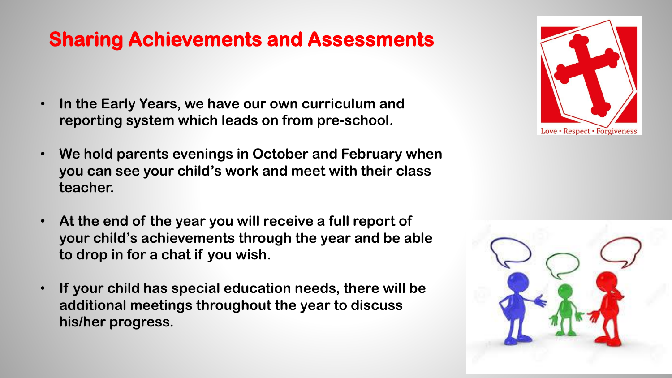### **Sharing Achievements and Assessments**

- **In the Early Years, we have our own curriculum and reporting system which leads on from pre-school.**
- **We hold parents evenings in October and February when you can see your child's work and meet with their class teacher.**
- **At the end of the year you will receive a full report of your child's achievements through the year and be able to drop in for a chat if you wish.**
- **If your child has special education needs, there will be additional meetings throughout the year to discuss his/her progress.**



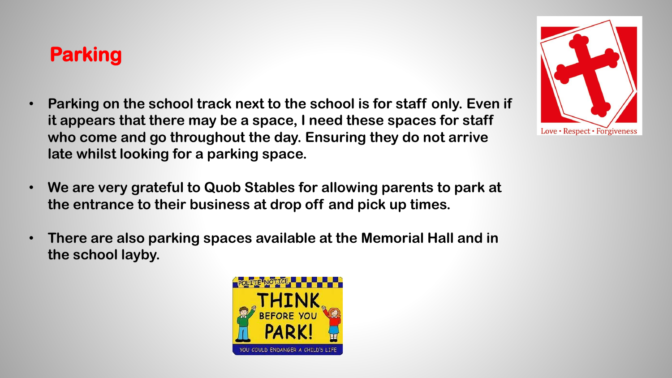# **Parking**

- **Parking on the school track next to the school is for staff only. Even if it appears that there may be a space, I need these spaces for staff who come and go throughout the day. Ensuring they do not arrive late whilst looking for a parking space.**
- **We are very grateful to Quob Stables for allowing parents to park at the entrance to their business at drop off and pick up times.**
- **There are also parking spaces available at the Memorial Hall and in the school layby.**



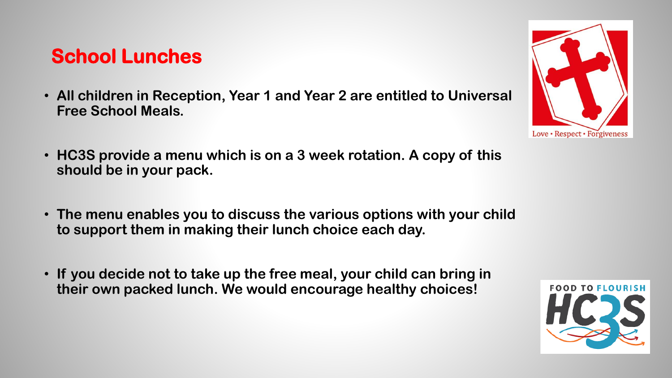#### **School Lunches**

- **All children in Reception, Year 1 and Year 2 are entitled to Universal Free School Meals.**
- **HC3S provide a menu which is on a 3 week rotation. A copy of this should be in your pack.**
- **The menu enables you to discuss the various options with your child to support them in making their lunch choice each day.**
- **If you decide not to take up the free meal, your child can bring in their own packed lunch. We would encourage healthy choices!**



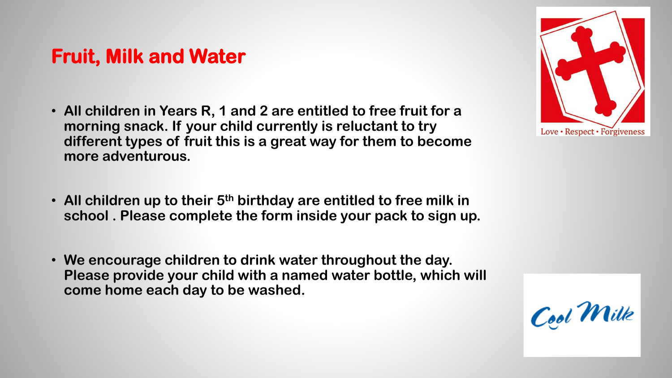#### **Fruit, Milk and Water**

- **All children in Years R, 1 and 2 are entitled to free fruit for a morning snack. If your child currently is reluctant to try different types of fruit this is a great way for them to become more adventurous.**
- **All children up to their 5th birthday are entitled to free milk in school . Please complete the form inside your pack to sign up.**
- **We encourage children to drink water throughout the day. Please provide your child with a named water bottle, which will come home each day to be washed.**



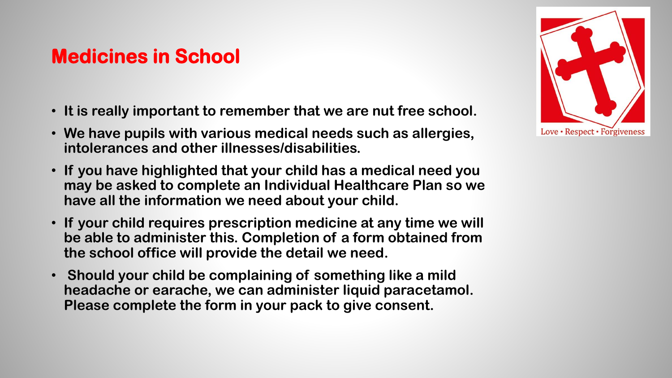### **Medicines in School**

- **It is really important to remember that we are nut free school.**
- **We have pupils with various medical needs such as allergies, intolerances and other illnesses/disabilities.**
- **If you have highlighted that your child has a medical need you may be asked to complete an Individual Healthcare Plan so we have all the information we need about your child.**
- **If your child requires prescription medicine at any time we will be able to administer this. Completion of a form obtained from the school office will provide the detail we need.**
- **Should your child be complaining of something like a mild headache or earache, we can administer liquid paracetamol. Please complete the form in your pack to give consent.**

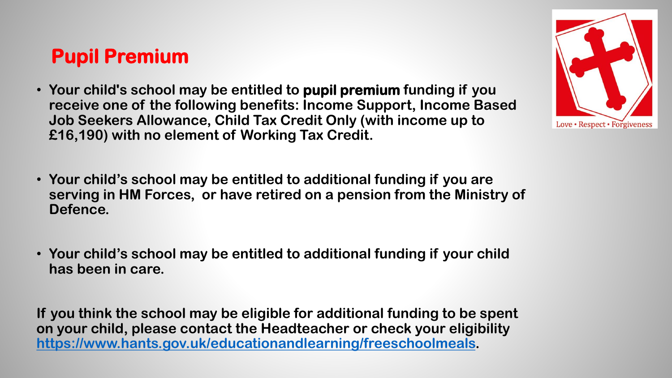### **Pupil Premium**

- **Your child's school may be entitled to pupil premium funding if you receive one of the following benefits: Income Support, Income Based Job Seekers Allowance, Child Tax Credit Only (with income up to £16,190) with no element of Working Tax Credit.**
- **Your child's school may be entitled to additional funding if you are serving in HM Forces, or have retired on a pension from the Ministry of Defence.**
- **Your child's school may be entitled to additional funding if your child has been in care.**

**If you think the school may be eligible for additional funding to be spent on your child, please contact the Headteacher or check your eligibility <https://www.hants.gov.uk/educationandlearning/freeschoolmeals>.** 

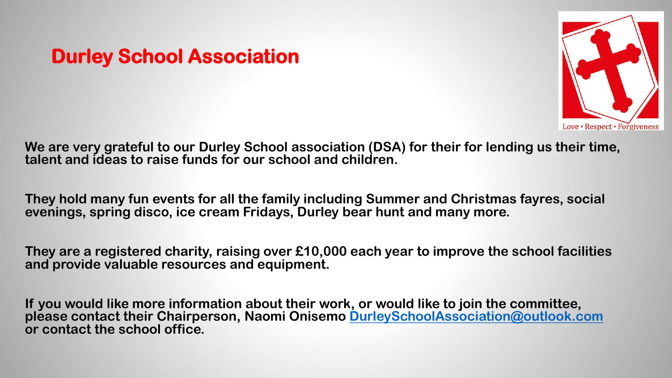# **Durley School Association**



**We are very grateful to our Durley School association (DSA) for their for lending us their time, talent and ideas to raise funds for our school and children.**

**They hold many fun events for all the family including Summer and Christmas fayres, social evenings, spring disco, ice cream Fridays, Durley bear hunt and many more.**

**They are a registered charity, raising over £10,000 each year to improve the school facilities and provide valuable resources and equipment.**

**If you would like more information about their work, or would like to join the committee, please contact their Chairperson, Naomi Onisemo [DurleySchoolAssociation@outlook.com](mailto:DurleySchoolAssociation@outlook.com) or contact the school office.**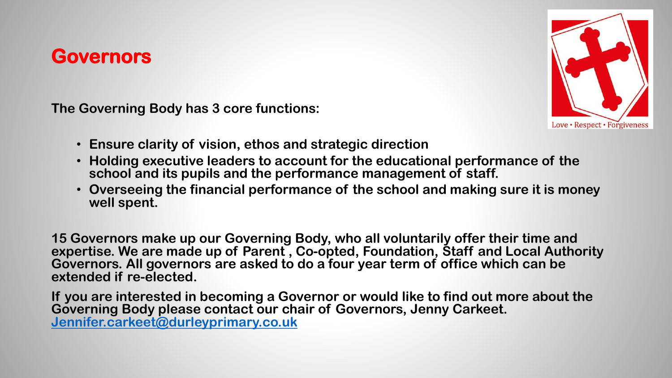#### **Governors**

**The Governing Body has 3 core functions:**



- **Ensure clarity of vision, ethos and strategic direction**
- **Holding executive leaders to account for the educational performance of the school and its pupils and the performance management of staff.**
- **Overseeing the financial performance of the school and making sure it is money well spent.**

**15 Governors make up our Governing Body, who all voluntarily offer their time and expertise. We are made up of Parent , Co-opted, Foundation, Staff and Local Authority Governors. All governors are asked to do a four year term of office which can be extended if re-elected.** 

**If you are interested in becoming a Governor or would like to find out more about the Governing Body please contact our chair of Governors, Jenny Carkeet. [Jennifer.carkeet@durleyprimary.co.uk](mailto:Jennifer.carkeet@durleyprimary.co.uk)**